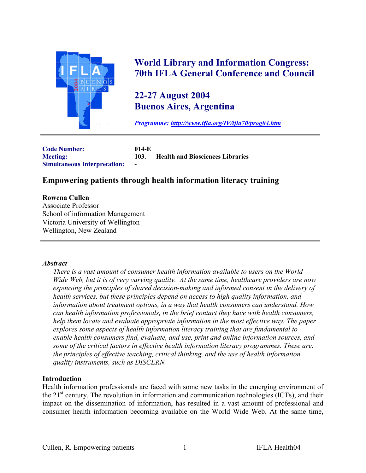

## **World Library and Information Congress: 70th IFLA General Conference and Council**

# **22-27 August 2004 Buenos Aires, Argentina**

*Programme:<http://www.ifla.org/IV/ifla70/prog04.htm>*

**Code Number: 014-E Simultaneous Interpretation: -**

**Meeting: 103. Health and Biosciences Libraries**

## **Empowering patients through health information literacy training**

## **Rowena Cullen**

Associate Professor School of information Management Victoria University of Wellington Wellington, New Zealand

#### *Abstract*

*There is a vast amount of consumer health information available to users on the World Wide Web, but it is of very varying quality. At the same time, healthcare providers are now espousing the principles of shared decision-making and informed consent in the delivery of health services, but these principles depend on access to high quality information, and information about treatment options, in a way that health consumers can understand. How can health information professionals, in the brief contact they have with health consumers, help them locate and evaluate appropriate information in the most effective way. The paper explores some aspects of health information literacy training that are fundamental to enable health consumers find, evaluate, and use, print and online information sources, and some of the critical factors in effective health information literacy programmes. These are: the principles of effective teaching, critical thinking, and the use of health information quality instruments, such as DISCERN.*

## **Introduction**

Health information professionals are faced with some new tasks in the emerging environment of the  $21<sup>st</sup>$  century. The revolution in information and communication technologies (ICTs), and their impact on the dissemination of information, has resulted in a vast amount of professional and consumer health information becoming available on the World Wide Web. At the same time,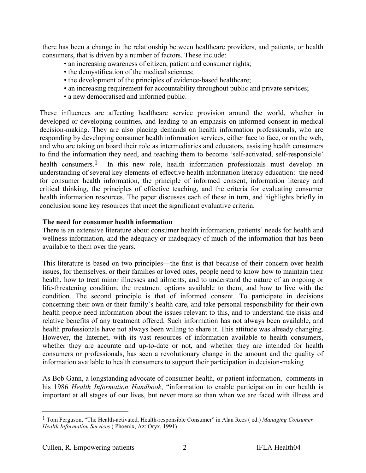there has been a change in the relationship between healthcare providers, and patients, or health consumers, that is driven by a number of factors. These include:

- an increasing awareness of citizen, patient and consumer rights;
- the demystification of the medical sciences;
- the development of the principles of evidence-based healthcare;
- an increasing requirement for accountability throughout public and private services;
- a new democratised and informed public.

These influences are affecting healthcare service provision around the world, whether in developed or developing countries, and leading to an emphasis on informed consent in medical decision-making. They are also placing demands on health information professionals, who are responding by developing consumer health information services, either face to face, or on the web, and who are taking on board their role as intermediaries and educators, assisting health consumers to find the information they need, and teaching them to become 'self-activated, self-responsible' health consumers.<sup>1</sup> In this new role, health information professionals must develop an understanding of several key elements of effective health information literacy education: the need for consumer health information, the principle of informed consent, information literacy and critical thinking, the principles of effective teaching, and the criteria for evaluating consumer health information resources. The paper discusses each of these in turn, and highlights briefly in conclusion some key resources that meet the significant evaluative criteria.

## **The need for consumer health information**

There is an extensive literature about consumer health information, patients' needs for health and wellness information, and the adequacy or inadequacy of much of the information that has been available to them over the years.

This literature is based on two principles—the first is that because of their concern over health issues, for themselves, or their families or loved ones, people need to know how to maintain their health, how to treat minor illnesses and ailments, and to understand the nature of an ongoing or life-threatening condition, the treatment options available to them, and how to live with the condition. The second principle is that of informed consent. To participate in decisions concerning their own or their family's health care, and take personal responsibility for their own health people need information about the issues relevant to this, and to understand the risks and relative benefits of any treatment offered. Such information has not always been available, and health professionals have not always been willing to share it. This attitude was already changing. However, the Internet, with its vast resources of information available to health consumers, whether they are accurate and up-to-date or not, and whether they are intended for health consumers or professionals, has seen a revolutionary change in the amount and the quality of information available to health consumers to support their participation in decision-making

As Bob Gann, a longstanding advocate of consumer health, or patient information, comments in his 1986 *Health Information Handbook*, "information to enable participation in our health is important at all stages of our lives, but never more so than when we are faced with illness and

<sup>1</sup> Tom Ferguson, "The Health-activated, Health-responsible Consumer" in Alan Rees ( ed.) *Managing Consumer Health Information Services* ( Phoenix, Az: Oryx, 1991)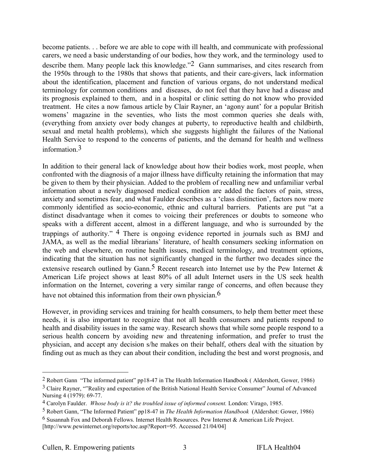become patients. . . before we are able to cope with ill health, and communicate with professional carers, we need a basic understanding of our bodies, how they work, and the terminology used to describe them. Many people lack this knowledge."2 Gann summarises, and cites research from the 1950s through to the 1980s that shows that patients, and their care-givers, lack information about the identification, placement and function of various organs, do not understand medical terminology for common conditions and diseases, do not feel that they have had a disease and its prognosis explained to them, and in a hospital or clinic setting do not know who provided treatment. He cites a now famous article by Clair Rayner, an 'agony aunt' for a popular British womens' magazine in the seventies, who lists the most common queries she deals with, (everything from anxiety over body changes at puberty, to reproductive health and childbirth, sexual and metal health problems), which she suggests highlight the failures of the National Health Service to respond to the concerns of patients, and the demand for health and wellness information  $3$ 

In addition to their general lack of knowledge about how their bodies work, most people, when confronted with the diagnosis of a major illness have difficulty retaining the information that may be given to them by their physician. Added to the problem of recalling new and unfamiliar verbal information about a newly diagnosed medical condition are added the factors of pain, stress, anxiety and sometimes fear, and what Faulder describes as a 'class distinction', factors now more commonly identified as socio-economic, ethnic and cultural barriers. Patients are put "at a distinct disadvantage when it comes to voicing their preferences or doubts to someone who speaks with a different accent, almost in a different language, and who is surrounded by the trappings of authority." 4 There is ongoing evidence reported in journals such as BMJ and JAMA, as well as the medial librarians' literature, of health consumers seeking information on the web and elsewhere, on routine health issues, medical terminology, and treatment options, indicating that the situation has not significantly changed in the further two decades since the extensive research outlined by Gann.<sup>5</sup> Recent research into Internet use by the Pew Internet  $\&$ American Life project shows at least 80% of all adult Internet users in the US seek health information on the Internet, covering a very similar range of concerns, and often because they have not obtained this information from their own physician.<sup>6</sup>

However, in providing services and training for health consumers, to help them better meet these needs, it is also important to recognize that not all health consumers and patients respond to health and disability issues in the same way. Research shows that while some people respond to a serious health concern by avoiding new and threatening information, and prefer to trust the physician, and accept any decision s/he makes on their behalf, others deal with the situation by finding out as much as they can about their condition, including the best and worst prognosis, and

<sup>2</sup> Robert Gann "The informed patient" pp18-47 in The Health Information Handbook ( Aldershott, Gower, 1986)

<sup>3</sup> Claire Rayner, ""Reality and expectation of the British National Health Service Consumer" Journal of Advanced Nursing 4 (1979): 69-77.

<sup>4</sup> Carolyn Faulder. *Whose body is it? the troubled issue of informed consent.* London: Virago, 1985.

<sup>5</sup> Robert Gann, "The Informed Patient" pp18-47 in *The Health Information Handbook* (Aldershot: Gower, 1986)

<sup>6</sup> Susannah Fox and Deborah Fellows. Internet Health Resources. Pew Internet & American Life Project. [\[http://www.pewinternet.org/reports/toc.asp?Report=95.](http://www.pewinternet.org/reports/toc.asp?Report=95) Accessed 21/04/04]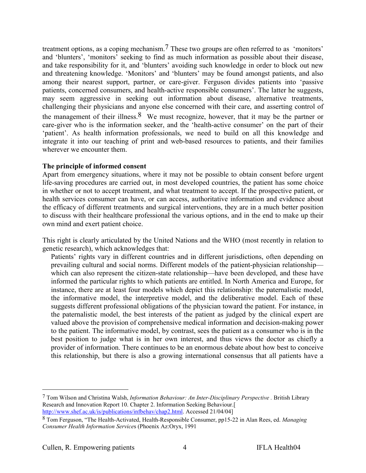treatment options, as a coping mechanism.7 These two groups are often referred to as 'monitors' and 'blunters', 'monitors' seeking to find as much information as possible about their disease, and take responsibility for it, and 'blunters' avoiding such knowledge in order to block out new and threatening knowledge. 'Monitors' and 'blunters' may be found amongst patients, and also among their nearest support, partner, or care-giver. Ferguson divides patients into 'passive patients, concerned consumers, and health-active responsible consumers'. The latter he suggests, may seem aggressive in seeking out information about disease, alternative treatments, challenging their physicians and anyone else concerned with their care, and asserting control of the management of their illness. $8$  We must recognize, however, that it may be the partner or care-giver who is the information seeker, and the 'health-active consumer' on the part of their 'patient'. As health information professionals, we need to build on all this knowledge and integrate it into our teaching of print and web-based resources to patients, and their families wherever we encounter them.

#### **The principle of informed consent**

Apart from emergency situations, where it may not be possible to obtain consent before urgent life-saving procedures are carried out, in most developed countries, the patient has some choice in whether or not to accept treatment, and what treatment to accept. If the prospective patient, or health services consumer can have, or can access, authoritative information and evidence about the efficacy of different treatments and surgical interventions, they are in a much better position to discuss with their healthcare professional the various options, and in the end to make up their own mind and exert patient choice.

This right is clearly articulated by the United Nations and the WHO (most recently in relation to genetic research), which acknowledges that:

Patients' rights vary in different countries and in different jurisdictions, often depending on prevailing cultural and social norms. Different models of the patient-physician relationship which can also represent the citizen-state relationship—have been developed, and these have informed the particular rights to which patients are entitled. In North America and Europe, for instance, there are at least four models which depict this relationship: the paternalistic model, the informative model, the interpretive model, and the deliberative model. Each of these suggests different professional obligations of the physician toward the patient. For instance, in the paternalistic model, the best interests of the patient as judged by the clinical expert are valued above the provision of comprehensive medical information and decision-making power to the patient. The informative model, by contrast, sees the patient as a consumer who is in the best position to judge what is in her own interest, and thus views the doctor as chiefly a provider of information. There continues to be an enormous debate about how best to conceive this relationship, but there is also a growing international consensus that all patients have a

<sup>7</sup> Tom Wilson and Christina Walsh, *Information Behaviour: An Inter-Disciplinary Perspective .* British Library Research and Innovation Report 10. Chapter 2. Information Seeking Behaviour.[ [http://www.shef.ac.uk/is/publications/infbehav/chap2.html.](http://www.shef.ac.uk/is/publications/infbehav/chap2.html) Accessed 21/04/04]

<sup>8</sup> Tom Ferguson, "The Health-Activated, Health-Responsible Consumer, pp15-22 in Alan Rees, ed. *Managing Consumer Health Information Service*s (Phoenix Az:Oryx, 1991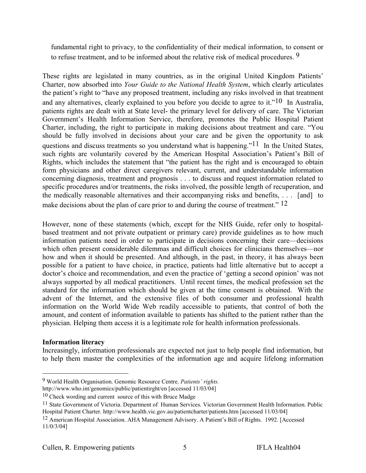fundamental right to privacy, to the confidentiality of their medical information, to consent or to refuse treatment, and to be informed about the relative risk of medical procedures. 9

These rights are legislated in many countries, as in the original United Kingdom Patients' Charter, now absorbed into *Your Guide to the National Health System*, which clearly articulates the patient's right to "have any proposed treatment, including any risks involved in that treatment and any alternatives, clearly explained to you before you decide to agree to it."<sup>10</sup> In Australia, patients rights are dealt with at State level- the primary level for delivery of care. The Victorian Government's Health Information Service, therefore, promotes the Public Hospital Patient Charter, including, the right to participate in making decisions about treatment and care. "You should be fully involved in decisions about your care and be given the opportunity to ask questions and discuss treatments so you understand what is happening." $11$  In the United States, such rights are voluntarily covered by the American Hospital Association's Patient's Bill of Rights, which includes the statement that "the patient has the right and is encouraged to obtain form physicians and other direct caregivers relevant, current, and understandable information concerning diagnosis, treatment and prognosis . . . to discuss and request information related to specific procedures and/or treatments, the risks involved, the possible length of recuperation, and the medically reasonable alternatives and their accompanying risks and benefits, . . . [and] to make decisions about the plan of care prior to and during the course of treatment." 12

However, none of these statements (which, except for the NHS Guide, refer only to hospitalbased treatment and not private outpatient or primary care) provide guidelines as to how much information patients need in order to participate in decisions concerning their care—decisions which often present considerable dilemmas and difficult choices for clinicians themselves—nor how and when it should be presented. And although, in the past, in theory, it has always been possible for a patient to have choice, in practice, patients had little alternative but to accept a doctor's choice and recommendation, and even the practice of 'getting a second opinion' was not always supported by all medical practitioners. Until recent times, the medical profession set the standard for the information which should be given at the time consent is obtained. With the advent of the Internet, and the extensive files of both consumer and professional health information on the World Wide Web readily accessible to patients, that control of both the amount, and content of information available to patients has shifted to the patient rather than the physician. Helping them access it is a legitimate role for health information professionals.

#### **Information literacy**

 $\overline{a}$ 

Increasingly, information professionals are expected not just to help people find information, but to help them master the complexities of the information age and acquire lifelong information

<sup>9</sup> World Health Organisation. Genomic Resource Centre. *Patients' rights.*

<http://www.who.int/genomics/public/patientirght/en> [accessed 11/03/04]

<sup>10</sup> Check wording and current source of this with Bruce Madge

<sup>11</sup> State Government of Victoria. Department of Human Services. Victorian Government Health Information. Public Hospital Patient Charter. <http://www.health.vic.gov.au/patientcharter/patients.htm> [accessed 11/03/04]

<sup>12</sup> American Hospital Association. AHA Management Advisory. A Patient's Bill of Rights. 1992. [Accessed 11/0/3/04]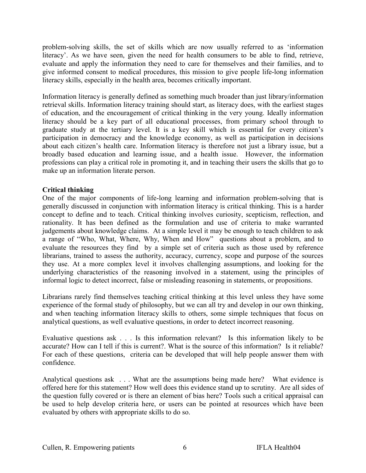problem-solving skills, the set of skills which are now usually referred to as 'information literacy'. As we have seen, given the need for health consumers to be able to find, retrieve, evaluate and apply the information they need to care for themselves and their families, and to give informed consent to medical procedures, this mission to give people life-long information literacy skills, especially in the health area, becomes critically important.

Information literacy is generally defined as something much broader than just library/information retrieval skills. Information literacy training should start, as literacy does, with the earliest stages of education, and the encouragement of critical thinking in the very young. Ideally information literacy should be a key part of all educational processes, from primary school through to graduate study at the tertiary level. It is a key skill which is essential for every citizen's participation in democracy and the knowledge economy, as well as participation in decisions about each citizen's health care. Information literacy is therefore not just a library issue, but a broadly based education and learning issue, and a health issue. However, the information professions can play a critical role in promoting it, and in teaching their users the skills that go to make up an information literate person.

## **Critical thinking**

One of the major components of life-long learning and information problem-solving that is generally discussed in conjunction with information literacy is critical thinking. This is a harder concept to define and to teach. Critical thinking involves curiosity, scepticism, reflection, and rationality. It has been defined as the formulation and use of criteria to make warranted judgements about knowledge claims. At a simple level it may be enough to teach children to ask a range of "Who, What, Where, Why, When and How" questions about a problem, and to evaluate the resources they find by a simple set of criteria such as those used by reference librarians, trained to assess the authority, accuracy, currency, scope and purpose of the sources they use. At a more complex level it involves challenging assumptions, and looking for the underlying characteristics of the reasoning involved in a statement, using the principles of informal logic to detect incorrect, false or misleading reasoning in statements, or propositions.

Librarians rarely find themselves teaching critical thinking at this level unless they have some experience of the formal study of philosophy, but we can all try and develop in our own thinking, and when teaching information literacy skills to others, some simple techniques that focus on analytical questions, as well evaluative questions, in order to detect incorrect reasoning.

Evaluative questions ask . . . Is this information relevant? Is this information likely to be accurate? How can I tell if this is current?. What is the source of this information? Is it reliable? For each of these questions, criteria can be developed that will help people answer them with confidence.

Analytical questions ask . . . What are the assumptions being made here? What evidence is offered here for this statement? How well does this evidence stand up to scrutiny. Are all sides of the question fully covered or is there an element of bias here? Tools such a critical appraisal can be used to help develop criteria here, or users can be pointed at resources which have been evaluated by others with appropriate skills to do so.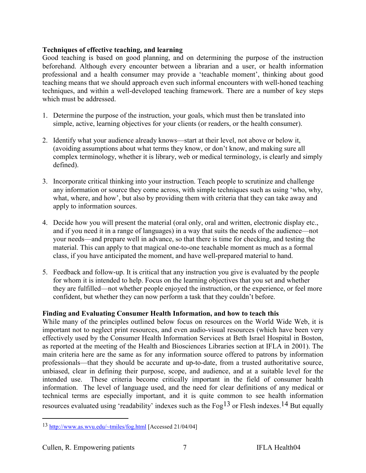## **Techniques of effective teaching, and learning**

Good teaching is based on good planning, and on determining the purpose of the instruction beforehand. Although every encounter between a librarian and a user, or health information professional and a health consumer may provide a 'teachable moment', thinking about good teaching means that we should approach even such informal encounters with well-honed teaching techniques, and within a well-developed teaching framework. There are a number of key steps which must be addressed.

- 1. Determine the purpose of the instruction, your goals, which must then be translated into simple, active, learning objectives for your clients (or readers, or the health consumer).
- 2. Identify what your audience already knows—start at their level, not above or below it, (avoiding assumptions about what terms they know, or don't know, and making sure all complex terminology, whether it is library, web or medical terminology, is clearly and simply defined).
- 3. Incorporate critical thinking into your instruction. Teach people to scrutinize and challenge any information or source they come across, with simple techniques such as using 'who, why, what, where, and how', but also by providing them with criteria that they can take away and apply to information sources.
- 4. Decide how you will present the material (oral only, oral and written, electronic display etc., and if you need it in a range of languages) in a way that suits the needs of the audience—not your needs—and prepare well in advance, so that there is time for checking, and testing the material. This can apply to that magical one-to-one teachable moment as much as a formal class, if you have anticipated the moment, and have well-prepared material to hand.
- 5. Feedback and follow-up. It is critical that any instruction you give is evaluated by the people for whom it is intended to help. Focus on the learning objectives that you set and whether they are fulfilled—not whether people enjoyed the instruction, or the experience, or feel more confident, but whether they can now perform a task that they couldn't before.

## **Finding and Evaluating Consumer Health Information, and how to teach this**

While many of the principles outlined below focus on resources on the World Wide Web, it is important not to neglect print resources, and even audio-visual resources (which have been very effectively used by the Consumer Health Information Services at Beth Israel Hospital in Boston, as reported at the meeting of the Health and Biosciences Libraries section at IFLA in 2001). The main criteria here are the same as for any information source offered to patrons by information professionals—that they should be accurate and up-to-date, from a trusted authoritative source, unbiased, clear in defining their purpose, scope, and audience, and at a suitable level for the intended use. These criteria become critically important in the field of consumer health information. The level of language used, and the need for clear definitions of any medical or technical terms are especially important, and it is quite common to see health information resources evaluated using 'readability' indexes such as the  $Fog<sup>13</sup>$  or Flesh indexes.<sup>14</sup> But equally

<sup>13</sup> <http://www.as.wvu.edu/~tmiles/fog.html>[Accessed 21/04/04]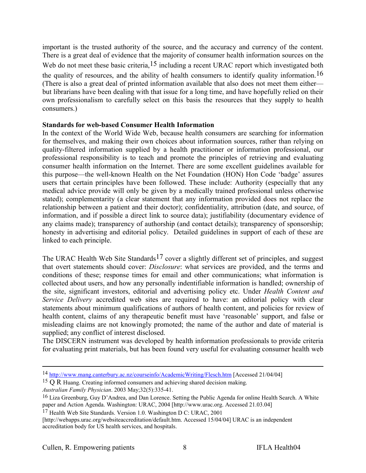important is the trusted authority of the source, and the accuracy and currency of the content. There is a great deal of evidence that the majority of consumer health information sources on the Web do not meet these basic criteria,<sup>15</sup> including a recent URAC report which investigated both the quality of resources, and the ability of health consumers to identify quality information.<sup>16</sup> (There is also a great deal of printed information available that also does not meet them either but librarians have been dealing with that issue for a long time, and have hopefully relied on their own professionalism to carefully select on this basis the resources that they supply to health consumers.)

## **Standards for web-based Consumer Health Information**

In the context of the World Wide Web, because health consumers are searching for information for themselves, and making their own choices about information sources, rather than relying on quality-filtered information supplied by a health practitioner or information professional, our professional responsibility is to teach and promote the principles of retrieving and evaluating consumer health information on the Internet. There are some excellent guidelines available for this purpose—the well-known Health on the Net Foundation (HON) Hon Code 'badge' assures users that certain principles have been followed. These include: Authority (especially that any medical advice provide will only be given by a medically trained professional unless otherwise stated); complementarity (a clear statement that any information provided does not replace the relationship between a patient and their doctor); confidentiality, attribution (date, and source, of information, and if possible a direct link to source data); justifiability (documentary evidence of any claims made); transparency of authorship (and contact details); transparency of sponsorship; honesty in advertising and editorial policy. Detailed guidelines in support of each of these are linked to each principle.

The URAC Health Web Site Standards<sup>17</sup> cover a slightly different set of principles, and suggest that overt statements should cover: *Disclosure*: what services are provided, and the terms and conditions of these; response times for email and other communications; what information is collected about users, and how any personally indentifiable information is handled; ownership of the site, significant investors, editorial and advertising policy etc. Under *Health Content and Service Delivery* accredited web sites are required to have: an editorial policy with clear statements about minimum qualifications of authors of health content, and policies for review of health content, claims of any therapeutic benefit must have 'reasonable' support, and false or misleading claims are not knowingly promoted; the name of the author and date of material is supplied; any conflict of interest disclosed.

The DISCERN instrument was developed by health information professionals to provide criteria for evaluating print materials, but has been found very useful for evaluating consumer health web

 <sup>14</sup> <http://www.mang.canterbury.ac.nz/courseinfo/AcademicWriting/Flesch.htm>[Accessed 21/04/04]

<sup>15</sup> Q R Huang. Creating informed consumers and achieving shared decision making. *Australian Family Physician*. 2003 May;32(5):335-41.

<sup>16</sup> Liza Greenburg, Guy D'Andrea, and Dan Lorence. Setting the Public Agenda for online Health Search. A White paper and Action Agenda. Washington: URAC, 2004 [[http://www.urac.org.](http://www.urac.org) Accessed 21.03.04]

<sup>17</sup> Health Web Site Standards. Version 1.0. Washington D C: URAC, 2001

[<sup>\[</sup>http://webapps.urac.org/websiteaccreditation/default.htm.](http://webapps.urac.org/websiteaccreditation/default.htm) Accessed 15/04/04] URAC is an independent accreditation body for US health services, and hospitals.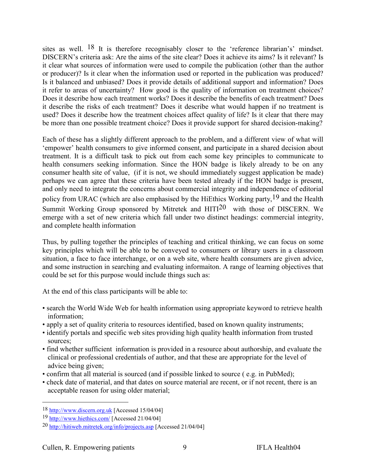sites as well. <sup>18</sup> It is therefore recognisably closer to the 'reference librarian's' mindset. DISCERN's criteria ask: Are the aims of the site clear? Does it achieve its aims? Is it relevant? Is it clear what sources of information were used to compile the publication (other than the author or producer)? Is it clear when the information used or reported in the publication was produced? Is it balanced and unbiased? Does it provide details of additional support and information? Does it refer to areas of uncertainty? How good is the quality of information on treatment choices? Does it describe how each treatment works? Does it describe the benefits of each treatment? Does it describe the risks of each treatment? Does it describe what would happen if no treatment is used? Does it describe how the treatment choices affect quality of life? Is it clear that there may be more than one possible treatment choice? Does it provide support for shared decision-making?

Each of these has a slightly different approach to the problem, and a different view of what will 'empower' health consumers to give informed consent, and participate in a shared decision about treatment. It is a difficult task to pick out from each some key principles to communicate to health consumers seeking information. Since the HON badge is likely already to be on any consumer health site of value, (if it is not, we should immediately suggest application be made) perhaps we can agree that these criteria have been tested already if the HON badge is present, and only need to integrate the concerns about commercial integrity and independence of editorial policy from URAC (which are also emphasised by the HiEthics Working party, <sup>19</sup> and the Health Summit Working Group sponsored by Mitretek and  $HITI<sup>20</sup>$  with those of DISCERN. We emerge with a set of new criteria which fall under two distinct headings: commercial integrity, and complete health information

Thus, by pulling together the principles of teaching and critical thinking, we can focus on some key principles which will be able to be conveyed to consumers or library users in a classroom situation, a face to face interchange, or on a web site, where health consumers are given advice, and some instruction in searching and evaluating informaiton. A range of learning objectives that could be set for this purpose would include things such as:

At the end of this class participants will be able to:

- search the World Wide Web for health information using appropriate keyword to retrieve health information;
- apply a set of quality criteria to resources identified, based on known quality instruments;
- identify portals and specific web sites providing high quality health information from trusted sources;
- find whether sufficient information is provided in a resource about authorship, and evaluate the clinical or professional credentials of author, and that these are appropriate for the level of advice being given;
- confirm that all material is sourced (and if possible linked to source ( e.g. in PubMed);
- check date of material, and that dates on source material are recent, or if not recent, there is an acceptable reason for using older material;

<sup>18</sup> <http://www.discern.org.uk>[Accessed 15/04/04]

<sup>19</sup> <http://www.hiethics.com/> [Accessed 21/04/04]

<sup>20</sup> <http://hitiweb.mitretek.org/info/projects.asp> [Accessed 21/04/04]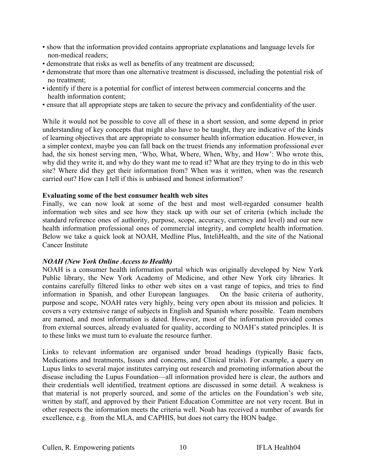- show that the information provided contains appropriate explanations and language levels for non-medical readers;
- demonstrate that risks as well as benefits of any treatment are discussed;
- demonstrate that more than one alternative treatment is discussed, including the potential risk of no treatment;
- identify if there is a potential for conflict of interest between commercial concerns and the health information content;
- ensure that all appropriate steps are taken to secure the privacy and confidentiality of the user.

While it would not be possible to cove all of these in a short session, and some depend in prior understanding of key concepts that might also have to be taught, they are indicative of the kinds of learning objectives that are appropriate to consumer health information education. However, in a simpler context, maybe you can fall back on the truest friends any information professional ever had, the six honest serving men, 'Who, What, Where, When, Why, and How': Who wrote this, why did they write it, and why do they want me to read it? What are they trying to do in this web site? Where did they get their information from? When was it written, when was the research carried out? How can I tell if this is unbiased and honest information?

## **Evaluating some of the best consumer health web sites**

Finally, we can now look at some of the best and most well-regarded consumer health information web sites and see how they stack up with our set of criteria (which include the standard reference ones of authority, purpose, scope, accuracy, currency and level) and our new health information professional ones of commercial integrity, and complete health information. Below we take a quick look at NOAH, Medline Plus, InteliHealth, and the site of the National Cancer Institute

## *NOAH (New York Online Access to Health)*

NOAH is a consumer health information portal which was originally developed by New York Public library, the New York Academy of Medicine, and other New York city libraries. It contains carefully filtered links to other web sites on a vast range of topics, and tries to find information in Spanish, and other European languages. On the basic criteria of authority, purpose and scope, NOAH rates very highly, being very open about its mission and policies. It covers a very extensive range of subjects in English and Spanish where possible. Team members are named, and most information is dated. However, most of the information provided comes from external sources, already evaluated for quality, according to NOAH's stated principles. It is to these links we must turn to evaluate the resource further.

Links to relevant information are organised under broad headings (typically Basic facts, Medications and treatments, Issues and concerns, and Clinical trials). For example, a query on Lupus links to several major institutes carrying out research and promoting information about the disease including the Lupus Foundation—all information provided here is clear, the authors and their credentials well identified, treatment options are discussed in some detail. A weakness is that material is not properly sourced, and some of the articles on the Foundation's web site, written by staff, and approved by their Patient Education Committee are not very recent. But in other respects the information meets the criteria well. Noah has received a number of awards for excellence, e.g. from the MLA, and CAPHIS, but does not carry the HON badge.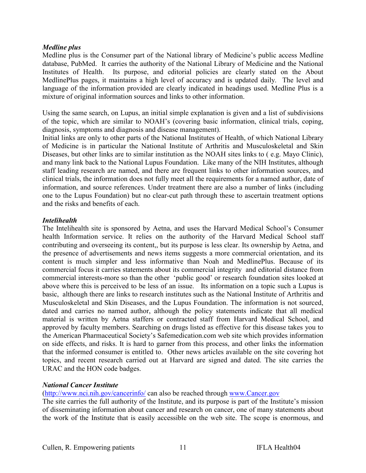## *Medline plus*

Medline plus is the Consumer part of the National library of Medicine's public access Medline database, PubMed. It carries the authority of the National Library of Medicine and the National Institutes of Health. Its purpose, and editorial policies are clearly stated on the About MedlinePlus pages, it maintains a high level of accuracy and is updated daily. The level and language of the information provided are clearly indicated in headings used. Medline Plus is a mixture of original information sources and links to other information.

Using the same search, on Lupus, an initial simple explanation is given and a list of subdivisions of the topic, which are similar to NOAH's (covering basic information, clinical trials, coping, diagnosis, symptoms and diagnosis and disease management).

Initial links are only to other parts of the National Institutes of Health, of which National Library of Medicine is in particular the National Institute of Arthritis and Musculoskeletal and Skin Diseases, but other links are to similar institution as the NOAH sites links to ( e.g. Mayo Clinic), and many link back to the National Lupus Foundation. Like many of the NIH Institutes, although staff leading research are named, and there are frequent links to other information sources, and clinical trials, the information does not fully meet all the requirements for a named author, date of information, and source references. Under treatment there are also a number of links (including one to the Lupus Foundation) but no clear-cut path through these to ascertain treatment options and the risks and benefits of each.

## *Intelihealth*

The Intelihealth site is sponsored by Aetna, and uses the Harvard Medical School's Consumer health Information service. It relies on the authority of the Harvard Medical School staff contributing and overseeing its content,, but its purpose is less clear. Its ownership by Aetna, and the presence of advertisements and news items suggests a more commercial orientation, and its content is much simpler and less informative than Noah and MedlinePlus. Because of its commercial focus it carries statements about its commercial integrity and editorial distance from commercial interests-more so than the other 'public good' or research foundation sites looked at above where this is perceived to be less of an issue. Its information on a topic such a Lupus is basic, although there are links to research institutes such as the National Institute of Arthritis and Musculoskeletal and Skin Diseases, and the Lupus Foundation. The information is not sourced, dated and carries no named author, although the policy statements indicate that all medical material is written by Aetna staffers or contracted staff from Harvard Medical School, and approved by faculty members. Searching on drugs listed as effective for this disease takes you to the American Pharmaceutical Society's Safemedication.com web site which provides information on side effects, and risks. It is hard to garner from this process, and other links the information that the informed consumer is entitled to. Other news articles available on the site covering hot topics, and recent research carried out at Harvard are signed and dated. The site carries the URAC and the HON code badges.

## *National Cancer Institute*

(<http://www.nci.nih.gov/cancerinfo/>can also be reached through www.Cancer.gov

The site carries the full authority of the Institute, and its purpose is part of the Institute's mission of disseminating information about cancer and research on cancer, one of many statements about the work of the Institute that is easily accessible on the web site. The scope is enormous, and